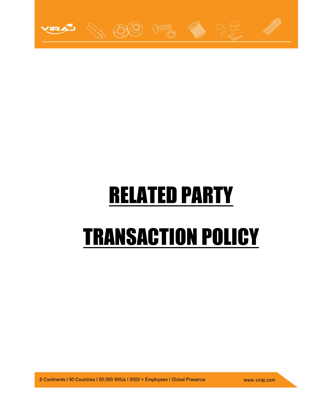

# RELATED PARTY TRANSACTION POLICY

6 Continents I 90 Countries I 50,000 SKUs I 9000 + Employees I Global Presence

www.viraj.com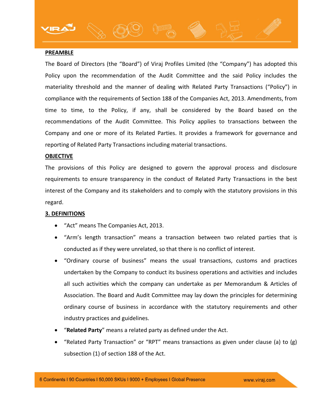### **PREAMBLE**

The Board of Directors (the "Board") of Viraj Profiles Limited (the "Company") has adopted this Policy upon the recommendation of the Audit Committee and the said Policy includes the materiality threshold and the manner of dealing with Related Party Transactions ("Policy") in compliance with the requirements of Section 188 of the Companies Act, 2013. Amendments, from time to time, to the Policy, if any, shall be considered by the Board based on the recommendations of the Audit Committee. This Policy applies to transactions between the Company and one or more of its Related Parties. It provides a framework for governance and reporting of Related Party Transactions including material transactions.

### **OBJECTIVE**

The provisions of this Policy are designed to govern the approval process and disclosure requirements to ensure transparency in the conduct of Related Party Transactions in the best interest of the Company and its stakeholders and to comply with the statutory provisions in this regard.

### **3. DEFINITIONS**

- "Act" means The Companies Act, 2013.
- "Arm's length transaction" means a transaction between two related parties that is conducted as if they were unrelated, so that there is no conflict of interest.
- "Ordinary course of business" means the usual transactions, customs and practices undertaken by the Company to conduct its business operations and activities and includes all such activities which the company can undertake as per Memorandum & Articles of Association. The Board and Audit Committee may lay down the principles for determining ordinary course of business in accordance with the statutory requirements and other industry practices and guidelines.
- "**Related Party**" means a related party as defined under the Act.
- "Related Party Transaction" or "RPT" means transactions as given under clause (a) to  $(g)$ subsection (1) of section 188 of the Act.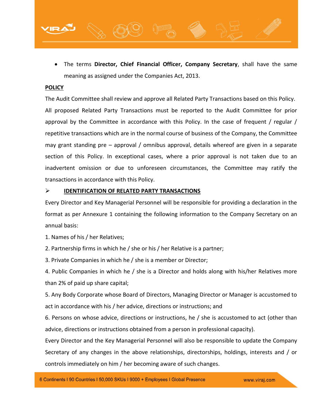

### **POLICY**

The Audit Committee shall review and approve all Related Party Transactions based on this Policy. All proposed Related Party Transactions must be reported to the Audit Committee for prior approval by the Committee in accordance with this Policy. In the case of frequent / regular / repetitive transactions which are in the normal course of business of the Company, the Committee may grant standing pre – approval / omnibus approval, details whereof are given in a separate section of this Policy. In exceptional cases, where a prior approval is not taken due to an inadvertent omission or due to unforeseen circumstances, the Committee may ratify the transactions in accordance with this Policy.

# **IDENTIFICATION OF RELATED PARTY TRANSACTIONS**

Every Director and Key Managerial Personnel will be responsible for providing a declaration in the format as per Annexure 1 containing the following information to the Company Secretary on an annual basis:

1. Names of his / her Relatives;

2. Partnership firms in which he / she or his / her Relative is a partner;

3. Private Companies in which he / she is a member or Director;

4. Public Companies in which he / she is a Director and holds along with his/her Relatives more than 2% of paid up share capital;

5. Any Body Corporate whose Board of Directors, Managing Director or Manager is accustomed to act in accordance with his / her advice, directions or instructions; and

6. Persons on whose advice, directions or instructions, he / she is accustomed to act (other than advice, directions or instructions obtained from a person in professional capacity).

Every Director and the Key Managerial Personnel will also be responsible to update the Company Secretary of any changes in the above relationships, directorships, holdings, interests and / or controls immediately on him / her becoming aware of such changes.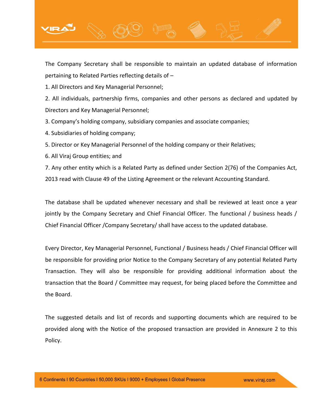

The Company Secretary shall be responsible to maintain an updated database of information pertaining to Related Parties reflecting details of –

1. All Directors and Key Managerial Personnel;

2. All individuals, partnership firms, companies and other persons as declared and updated by Directors and Key Managerial Personnel;

3. Company's holding company, subsidiary companies and associate companies;

- 4. Subsidiaries of holding company;
- 5. Director or Key Managerial Personnel of the holding company or their Relatives;
- 6. All Viraj Group entities; and

7. Any other entity which is a Related Party as defined under Section 2(76) of the Companies Act, 2013 read with Clause 49 of the Listing Agreement or the relevant Accounting Standard.

The database shall be updated whenever necessary and shall be reviewed at least once a year jointly by the Company Secretary and Chief Financial Officer. The functional / business heads / Chief Financial Officer /Company Secretary/ shall have access to the updated database.

Every Director, Key Managerial Personnel, Functional / Business heads / Chief Financial Officer will be responsible for providing prior Notice to the Company Secretary of any potential Related Party Transaction. They will also be responsible for providing additional information about the transaction that the Board / Committee may request, for being placed before the Committee and the Board.

The suggested details and list of records and supporting documents which are required to be provided along with the Notice of the proposed transaction are provided in Annexure 2 to this Policy.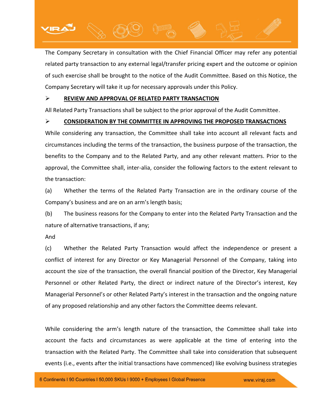

The Company Secretary in consultation with the Chief Financial Officer may refer any potential related party transaction to any external legal/transfer pricing expert and the outcome or opinion of such exercise shall be brought to the notice of the Audit Committee. Based on this Notice, the Company Secretary will take it up for necessary approvals under this Policy.

# **REVIEW AND APPROVAL OF RELATED PARTY TRANSACTION**

All Related Party Transactions shall be subject to the prior approval of the Audit Committee.

# **CONSIDERATION BY THE COMMITTEE IN APPROVING THE PROPOSED TRANSACTIONS**

While considering any transaction, the Committee shall take into account all relevant facts and circumstances including the terms of the transaction, the business purpose of the transaction, the benefits to the Company and to the Related Party, and any other relevant matters. Prior to the approval, the Committee shall, inter-alia, consider the following factors to the extent relevant to the transaction:

(a) Whether the terms of the Related Party Transaction are in the ordinary course of the Company's business and are on an arm's length basis;

(b) The business reasons for the Company to enter into the Related Party Transaction and the nature of alternative transactions, if any;

And

(c) Whether the Related Party Transaction would affect the independence or present a conflict of interest for any Director or Key Managerial Personnel of the Company, taking into account the size of the transaction, the overall financial position of the Director, Key Managerial Personnel or other Related Party, the direct or indirect nature of the Director's interest, Key Managerial Personnel's or other Related Party's interest in the transaction and the ongoing nature of any proposed relationship and any other factors the Committee deems relevant.

While considering the arm's length nature of the transaction, the Committee shall take into account the facts and circumstances as were applicable at the time of entering into the transaction with the Related Party. The Committee shall take into consideration that subsequent events (i.e., events after the initial transactions have commenced) like evolving business strategies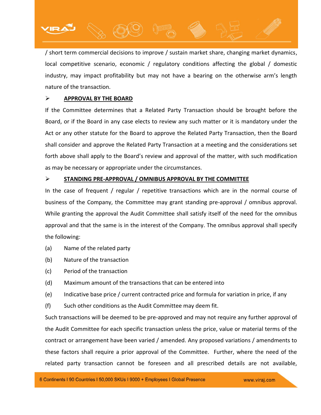/ short term commercial decisions to improve / sustain market share, changing market dynamics, local competitive scenario, economic / regulatory conditions affecting the global / domestic industry, may impact profitability but may not have a bearing on the otherwise arm's length nature of the transaction.

# **APPROVAL BY THE BOARD**

If the Committee determines that a Related Party Transaction should be brought before the Board, or if the Board in any case elects to review any such matter or it is mandatory under the Act or any other statute for the Board to approve the Related Party Transaction, then the Board shall consider and approve the Related Party Transaction at a meeting and the considerations set forth above shall apply to the Board's review and approval of the matter, with such modification as may be necessary or appropriate under the circumstances.

# **STANDING PRE-APPROVAL / OMNIBUS APPROVAL BY THE COMMITTEE**

In the case of frequent / regular / repetitive transactions which are in the normal course of business of the Company, the Committee may grant standing pre-approval / omnibus approval. While granting the approval the Audit Committee shall satisfy itself of the need for the omnibus approval and that the same is in the interest of the Company. The omnibus approval shall specify the following:

- (a) Name of the related party
- (b) Nature of the transaction
- (c) Period of the transaction
- (d) Maximum amount of the transactions that can be entered into
- (e) Indicative base price / current contracted price and formula for variation in price, if any
- (f) Such other conditions as the Audit Committee may deem fit.

Such transactions will be deemed to be pre-approved and may not require any further approval of the Audit Committee for each specific transaction unless the price, value or material terms of the contract or arrangement have been varied / amended. Any proposed variations / amendments to these factors shall require a prior approval of the Committee. Further, where the need of the related party transaction cannot be foreseen and all prescribed details are not available,